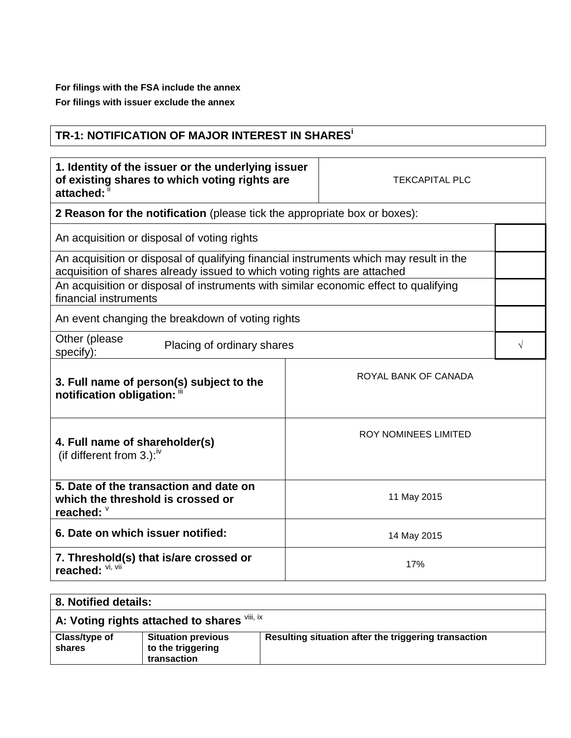**For filings with the FSA include the annex For filings with issuer exclude the annex**

## **TR-1: NOTIFICATION OF MAJOR INTEREST IN SHARES<sup>i</sup>**

| 1. Identity of the issuer or the underlying issuer<br>of existing shares to which voting rights are<br>attached: ii                                                | <b>TEKCAPITAL PLC</b> |                             |  |
|--------------------------------------------------------------------------------------------------------------------------------------------------------------------|-----------------------|-----------------------------|--|
| 2 Reason for the notification (please tick the appropriate box or boxes):                                                                                          |                       |                             |  |
| An acquisition or disposal of voting rights                                                                                                                        |                       |                             |  |
| An acquisition or disposal of qualifying financial instruments which may result in the<br>acquisition of shares already issued to which voting rights are attached |                       |                             |  |
| An acquisition or disposal of instruments with similar economic effect to qualifying<br>financial instruments                                                      |                       |                             |  |
| An event changing the breakdown of voting rights                                                                                                                   |                       |                             |  |
| Other (please<br>Placing of ordinary shares<br>specify):                                                                                                           |                       |                             |  |
| 3. Full name of person(s) subject to the<br>notification obligation: "                                                                                             |                       | ROYAL BANK OF CANADA        |  |
| 4. Full name of shareholder(s)<br>(if different from 3.): $\sqrt{v}$                                                                                               |                       | <b>ROY NOMINEES LIMITED</b> |  |
| 5. Date of the transaction and date on<br>which the threshold is crossed or<br>reached: V                                                                          |                       | 11 May 2015                 |  |
| 6. Date on which issuer notified:                                                                                                                                  |                       | 14 May 2015                 |  |
| 7. Threshold(s) that is/are crossed or<br>17%<br>reached:                                                                                                          |                       |                             |  |
|                                                                                                                                                                    |                       |                             |  |

| 8. Notified details:                         |                                                               |                                                      |  |
|----------------------------------------------|---------------------------------------------------------------|------------------------------------------------------|--|
| A: Voting rights attached to shares VIII, IX |                                                               |                                                      |  |
| Class/type of<br>shares                      | <b>Situation previous</b><br>to the triggering<br>transaction | Resulting situation after the triggering transaction |  |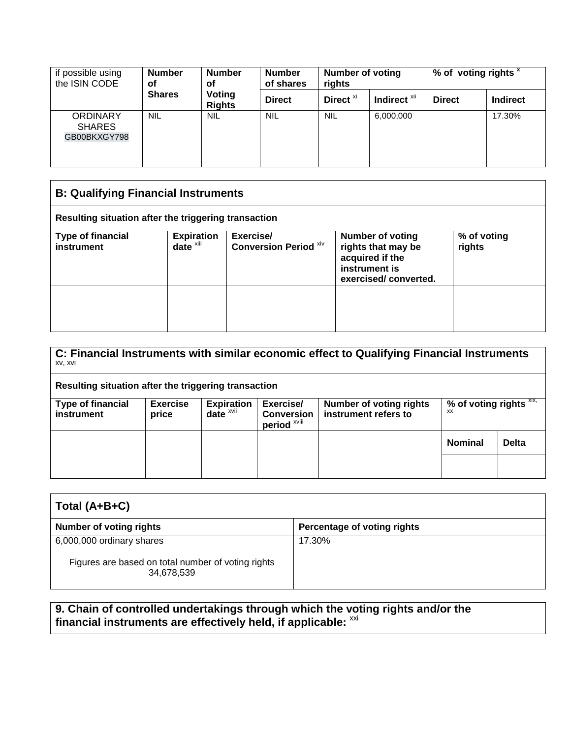| if possible using<br>the ISIN CODE               | <b>Number</b><br>οf | <b>Number</b><br>οf     | <b>Number</b><br><b>Number of voting</b><br>of shares<br>rights |                      | % of voting rights x    |               |                 |
|--------------------------------------------------|---------------------|-------------------------|-----------------------------------------------------------------|----------------------|-------------------------|---------------|-----------------|
|                                                  | <b>Shares</b>       | Voting<br><b>Rights</b> | <b>Direct</b>                                                   | Direct <sup>xi</sup> | Indirect <sup>xii</sup> | <b>Direct</b> | <b>Indirect</b> |
| <b>ORDINARY</b><br><b>SHARES</b><br>GB00BKXGY798 | <b>NIL</b>          | <b>NIL</b>              | <b>NIL</b>                                                      | <b>NIL</b>           | 6,000,000               |               | 17.30%          |

| <b>B: Qualifying Financial Instruments</b>           |                                               |                                           |                                                                                                           |                       |  |
|------------------------------------------------------|-----------------------------------------------|-------------------------------------------|-----------------------------------------------------------------------------------------------------------|-----------------------|--|
| Resulting situation after the triggering transaction |                                               |                                           |                                                                                                           |                       |  |
| <b>Type of financial</b><br>instrument               | <b>Expiration</b><br>$date^{\overline{x}iii}$ | Exercise/<br><b>Conversion Period Xiv</b> | <b>Number of voting</b><br>rights that may be<br>acquired if the<br>instrument is<br>exercised/converted. | % of voting<br>rights |  |
|                                                      |                                               |                                           |                                                                                                           |                       |  |

| C: Financial Instruments with similar economic effect to Qualifying Financial Instruments<br>XV, XVI |                          |                               |                                                |                                                        |                                  |              |
|------------------------------------------------------------------------------------------------------|--------------------------|-------------------------------|------------------------------------------------|--------------------------------------------------------|----------------------------------|--------------|
| Resulting situation after the triggering transaction                                                 |                          |                               |                                                |                                                        |                                  |              |
| <b>Type of financial</b><br>instrument                                                               | <b>Exercise</b><br>price | <b>Expiration</b><br>$date^x$ | Exercise/<br><b>Conversion</b><br>period XVIII | <b>Number of voting rights</b><br>instrument refers to | % of voting rights $XIX$ ,<br>xх |              |
|                                                                                                      |                          |                               |                                                |                                                        | <b>Nominal</b>                   | <b>Delta</b> |
|                                                                                                      |                          |                               |                                                |                                                        |                                  |              |

| Total $(A+B+C)$                                                                               |                             |  |
|-----------------------------------------------------------------------------------------------|-----------------------------|--|
| <b>Number of voting rights</b>                                                                | Percentage of voting rights |  |
| 6,000,000 ordinary shares<br>Figures are based on total number of voting rights<br>34,678,539 | 17.30%                      |  |
|                                                                                               |                             |  |

**9. Chain of controlled undertakings through which the voting rights and/or the** financial instruments are effectively held, if applicable: <sup>xxi</sup>